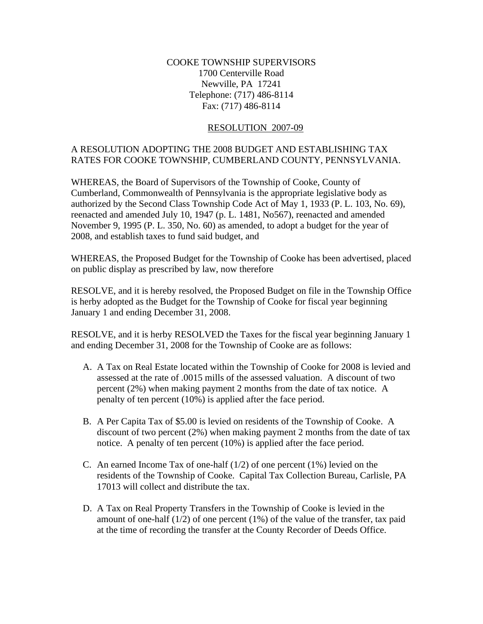## COOKE TOWNSHIP SUPERVISORS 1700 Centerville Road Newville, PA 17241 Telephone: (717) 486-8114 Fax: (717) 486-8114

## RESOLUTION 2007-09

## A RESOLUTION ADOPTING THE 2008 BUDGET AND ESTABLISHING TAX RATES FOR COOKE TOWNSHIP, CUMBERLAND COUNTY, PENNSYLVANIA.

WHEREAS, the Board of Supervisors of the Township of Cooke, County of Cumberland, Commonwealth of Pennsylvania is the appropriate legislative body as authorized by the Second Class Township Code Act of May 1, 1933 (P. L. 103, No. 69), reenacted and amended July 10, 1947 (p. L. 1481, No567), reenacted and amended November 9, 1995 (P. L. 350, No. 60) as amended, to adopt a budget for the year of 2008, and establish taxes to fund said budget, and

WHEREAS, the Proposed Budget for the Township of Cooke has been advertised, placed on public display as prescribed by law, now therefore

RESOLVE, and it is hereby resolved, the Proposed Budget on file in the Township Office is herby adopted as the Budget for the Township of Cooke for fiscal year beginning January 1 and ending December 31, 2008.

RESOLVE, and it is herby RESOLVED the Taxes for the fiscal year beginning January 1 and ending December 31, 2008 for the Township of Cooke are as follows:

- A. A Tax on Real Estate located within the Township of Cooke for 2008 is levied and assessed at the rate of .0015 mills of the assessed valuation. A discount of two percent (2%) when making payment 2 months from the date of tax notice. A penalty of ten percent (10%) is applied after the face period.
- B. A Per Capita Tax of \$5.00 is levied on residents of the Township of Cooke. A discount of two percent (2%) when making payment 2 months from the date of tax notice. A penalty of ten percent (10%) is applied after the face period.
- C. An earned Income Tax of one-half  $(1/2)$  of one percent  $(1%)$  levied on the residents of the Township of Cooke. Capital Tax Collection Bureau, Carlisle, PA 17013 will collect and distribute the tax.
- D. A Tax on Real Property Transfers in the Township of Cooke is levied in the amount of one-half  $(1/2)$  of one percent  $(1%)$  of the value of the transfer, tax paid at the time of recording the transfer at the County Recorder of Deeds Office.